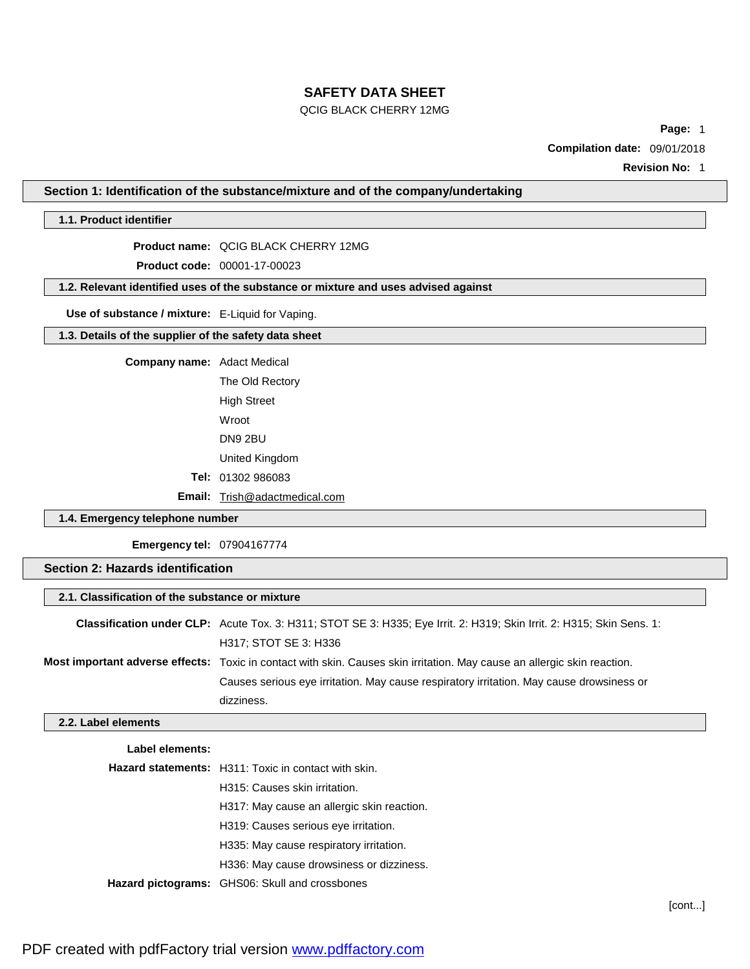#### QCIG BLACK CHERRY 12MG

**Page:** 1

**Compilation date:** 09/01/2018

**Revision No:** 1

**Section 1: Identification of the substance/mixture and of the company/undertaking**

## **1.1. Product identifier**

**Product name:** QCIG BLACK CHERRY 12MG

**Product code:** 00001-17-00023

**1.2. Relevant identified uses of the substance or mixture and uses advised against**

**Use of substance / mixture:** E-Liquid for Vaping.

**1.3. Details of the supplier of the safety data sheet**

**Company name:** Adact Medical

The Old Rectory High Street Wroot DN9 2BU United Kingdom **Tel:** 01302 986083

**Email:** [Trish@adactmedical.com](mailto:Trish@adactmedical.com)

### **1.4. Emergency telephone number**

**Emergency tel:** 07904167774

## **Section 2: Hazards identification**

| 2.1. Classification of the substance or mixture |                                                                                                                          |  |
|-------------------------------------------------|--------------------------------------------------------------------------------------------------------------------------|--|
|                                                 | Classification under CLP: Acute Tox. 3: H311; STOT SE 3: H335; Eye Irrit. 2: H319; Skin Irrit. 2: H315; Skin Sens. 1:    |  |
|                                                 | H317; STOT SE 3: H336                                                                                                    |  |
|                                                 | Most important adverse effects: Toxic in contact with skin. Causes skin irritation. May cause an allergic skin reaction. |  |
|                                                 | Causes serious eye irritation. May cause respiratory irritation. May cause drowsiness or                                 |  |
|                                                 | dizziness.                                                                                                               |  |

#### **2.2. Label elements**

| Label elements: |                                                             |
|-----------------|-------------------------------------------------------------|
|                 | <b>Hazard statements:</b> H311: Toxic in contact with skin. |
|                 | H315: Causes skin irritation.                               |
|                 | H317: May cause an allergic skin reaction.                  |
|                 | H319: Causes serious eve irritation.                        |
|                 | H335: May cause respiratory irritation.                     |
|                 | H336: May cause drowsiness or dizziness.                    |
|                 | Hazard pictograms: GHS06: Skull and crossbones              |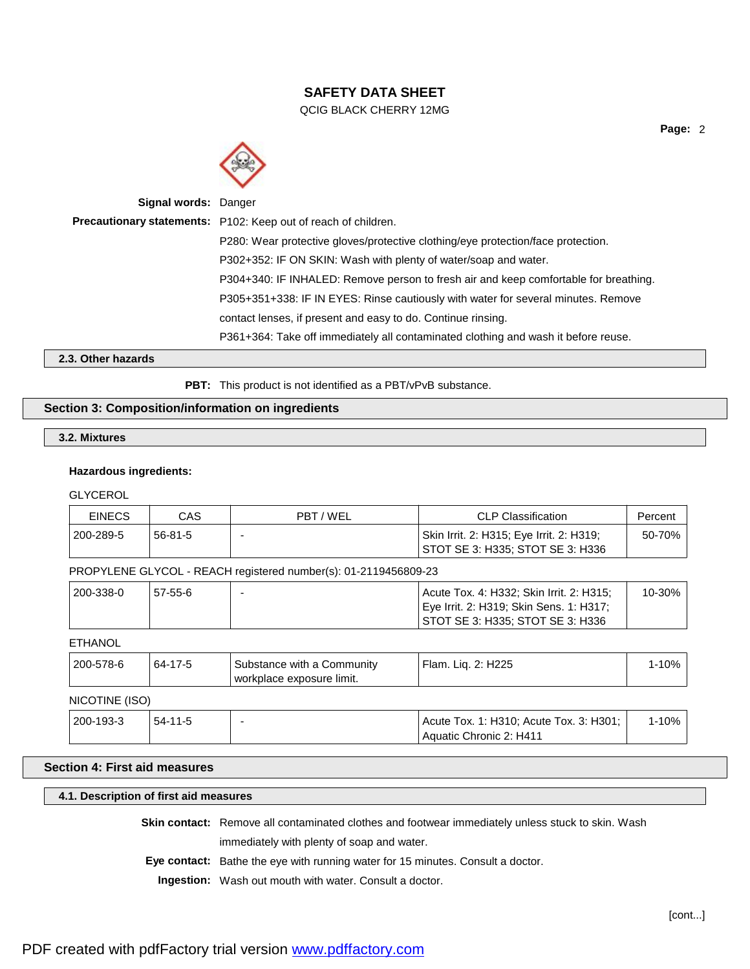QCIG BLACK CHERRY 12MG



| <b>Signal words: Danger</b> |                                                                                      |
|-----------------------------|--------------------------------------------------------------------------------------|
|                             | Precautionary statements: P102: Keep out of reach of children.                       |
|                             | P280: Wear protective gloves/protective clothing/eye protection/face protection.     |
|                             | P302+352: IF ON SKIN: Wash with plenty of water/soap and water.                      |
|                             | P304+340: IF INHALED: Remove person to fresh air and keep comfortable for breathing. |
|                             | P305+351+338: IF IN EYES: Rinse cautiously with water for several minutes. Remove    |
|                             | contact lenses, if present and easy to do. Continue rinsing.                         |
|                             | P361+364: Take off immediately all contaminated clothing and wash it before reuse.   |
|                             |                                                                                      |

**2.3. Other hazards**

PBT: This product is not identified as a PBT/vPvB substance.

### **Section 3: Composition/information on ingredients**

## **3.2. Mixtures**

### **Hazardous ingredients:**

**GLYCEROL** 

| <b>EINECS</b>  | <b>CAS</b>    | PBT / WEL                                                       | <b>CLP Classification</b>                                                                                               | Percent   |
|----------------|---------------|-----------------------------------------------------------------|-------------------------------------------------------------------------------------------------------------------------|-----------|
| 200-289-5      | $56 - 81 - 5$ |                                                                 | Skin Irrit. 2: H315; Eye Irrit. 2: H319;<br>STOT SE 3: H335; STOT SE 3: H336                                            | 50-70%    |
|                |               | PROPYLENE GLYCOL - REACH registered number(s): 01-2119456809-23 |                                                                                                                         |           |
| 200-338-0      | $57-55-6$     |                                                                 | Acute Tox. 4: H332; Skin Irrit. 2: H315;<br>Eye Irrit. 2: H319; Skin Sens. 1: H317;<br>STOT SE 3: H335; STOT SE 3: H336 | 10-30%    |
| <b>ETHANOL</b> |               |                                                                 |                                                                                                                         |           |
| 200-578-6      | 64-17-5       | Substance with a Community<br>workplace exposure limit.         | Flam. Liq. 2: H225                                                                                                      | $1 - 10%$ |

# NICOTINE (ISO)

| 200-193-3 | $54 - 11 - 5$ | Acute Tox. 1: H310; Acute Tox. 3: H301; | 10% |
|-----------|---------------|-----------------------------------------|-----|
|           |               | Aquatic Chronic 2: H411                 |     |

## **Section 4: First aid measures**

## **4.1. Description of first aid measures**

**Skin contact:** Remove all contaminated clothes and footwear immediately unless stuck to skin. Wash

immediately with plenty of soap and water.

**Eye contact:** Bathe the eye with running water for 15 minutes. Consult a doctor.

**Ingestion:** Wash out mouth with water. Consult a doctor.

**Page:** 2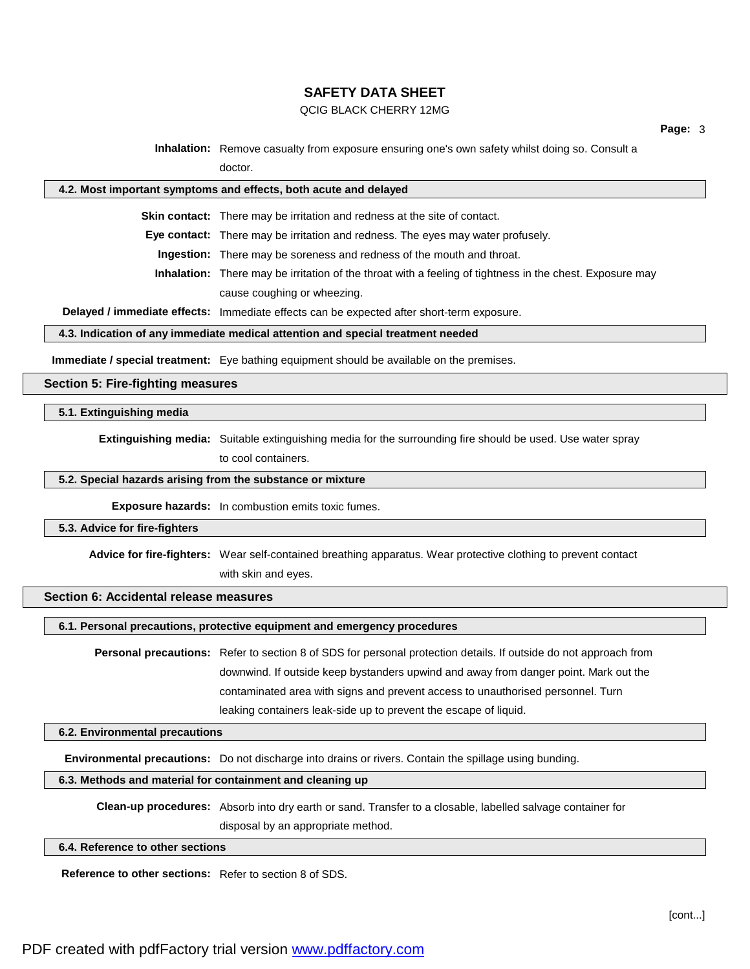#### QCIG BLACK CHERRY 12MG

**Inhalation:** Remove casualty from exposure ensuring one's own safety whilst doing so. Consult a doctor.

#### **4.2. Most important symptoms and effects, both acute and delayed**

**Skin contact:** There may be irritation and redness at the site of contact.

**Eye contact:** There may be irritation and redness. The eyes may water profusely.

**Ingestion:** There may be soreness and redness of the mouth and throat.

**Inhalation:** There may be irritation of the throat with a feeling of tightness in the chest. Exposure may cause coughing or wheezing.

**Delayed / immediate effects:** Immediate effects can be expected after short-term exposure.

#### **4.3. Indication of any immediate medical attention and special treatment needed**

**Immediate / special treatment:** Eye bathing equipment should be available on the premises.

#### **Section 5: Fire-fighting measures**

#### **5.1. Extinguishing media**

**Extinguishing media:** Suitable extinguishing media for the surrounding fire should be used. Use water spray

to cool containers.

#### **5.2. Special hazards arising from the substance or mixture**

**Exposure hazards:** In combustion emits toxic fumes.

#### **5.3. Advice for fire-fighters**

**Advice for fire-fighters:** Wear self-contained breathing apparatus. Wear protective clothing to prevent contact

with skin and eyes.

### **Section 6: Accidental release measures**

**6.1. Personal precautions, protective equipment and emergency procedures**

**Personal precautions:** Refer to section 8 of SDS for personal protection details. If outside do not approach from downwind. If outside keep bystanders upwind and away from danger point. Mark out the contaminated area with signs and prevent access to unauthorised personnel. Turn leaking containers leak-side up to prevent the escape of liquid.

#### **6.2. Environmental precautions**

**Environmental precautions:** Do not discharge into drains or rivers. Contain the spillage using bunding.

### **6.3. Methods and material for containment and cleaning up**

**Clean-up procedures:** Absorb into dry earth or sand. Transfer to a closable, labelled salvage container for disposal by an appropriate method.

**6.4. Reference to other sections**

**Reference to other sections:** Refer to section 8 of SDS.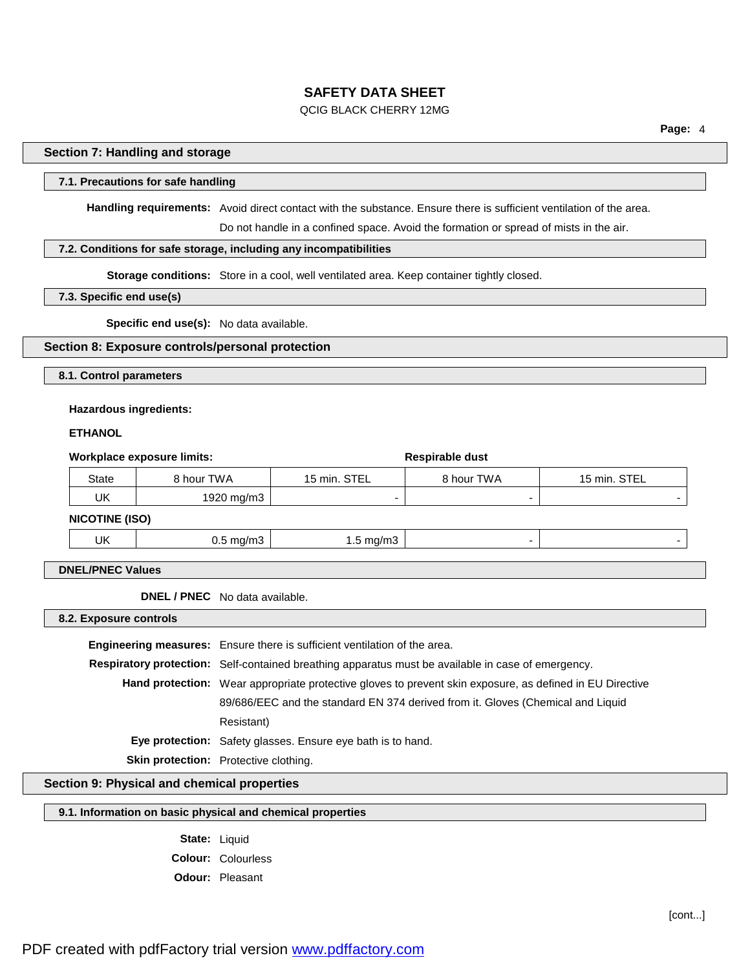### QCIG BLACK CHERRY 12MG

**Page:** 4

#### **Section 7: Handling and storage**

#### **7.1. Precautions for safe handling**

**Handling requirements:** Avoid direct contact with the substance. Ensure there is sufficient ventilation of the area.

Do not handle in a confined space. Avoid the formation or spread of mists in the air.

### **7.2. Conditions for safe storage, including any incompatibilities**

**Storage conditions:** Store in a cool, well ventilated area. Keep container tightly closed.

#### **7.3. Specific end use(s)**

**Specific end use(s):** No data available.

#### **Section 8: Exposure controls/personal protection**

**8.1. Control parameters**

#### **Hazardous ingredients:**

#### **ETHANOL**

| Workplace exposure limits: |                      |                      | Respirable dust |                          |
|----------------------------|----------------------|----------------------|-----------------|--------------------------|
| <b>State</b>               | 8 hour TWA           | 15 min. STEL         | 8 hour TWA      | 15 min. STEL             |
| UK                         | 1920 mg/m3           |                      |                 |                          |
| <b>NICOTINE (ISO)</b>      |                      |                      |                 |                          |
| UK                         | $0.5 \text{ mg/m}$ 3 | $1.5 \text{ mg/m}$ 3 | -               | $\overline{\phantom{a}}$ |

### **DNEL/PNEC Values**

**DNEL / PNEC** No data available.

**8.2. Exposure controls**

**Engineering measures:** Ensure there is sufficient ventilation of the area. **Respiratory protection:** Self-contained breathing apparatus must be available in case of emergency. **Hand protection:** Wear appropriate protective gloves to prevent skin exposure, as defined in EU Directive 89/686/EEC and the standard EN 374 derived from it. Gloves (Chemical and Liquid Resistant) **Eye protection:** Safety glasses. Ensure eye bath is to hand. **Skin protection:** Protective clothing.

**Section 9: Physical and chemical properties**

### **9.1. Information on basic physical and chemical properties**

**State:** Liquid **Colour:** Colourless **Odour:** Pleasant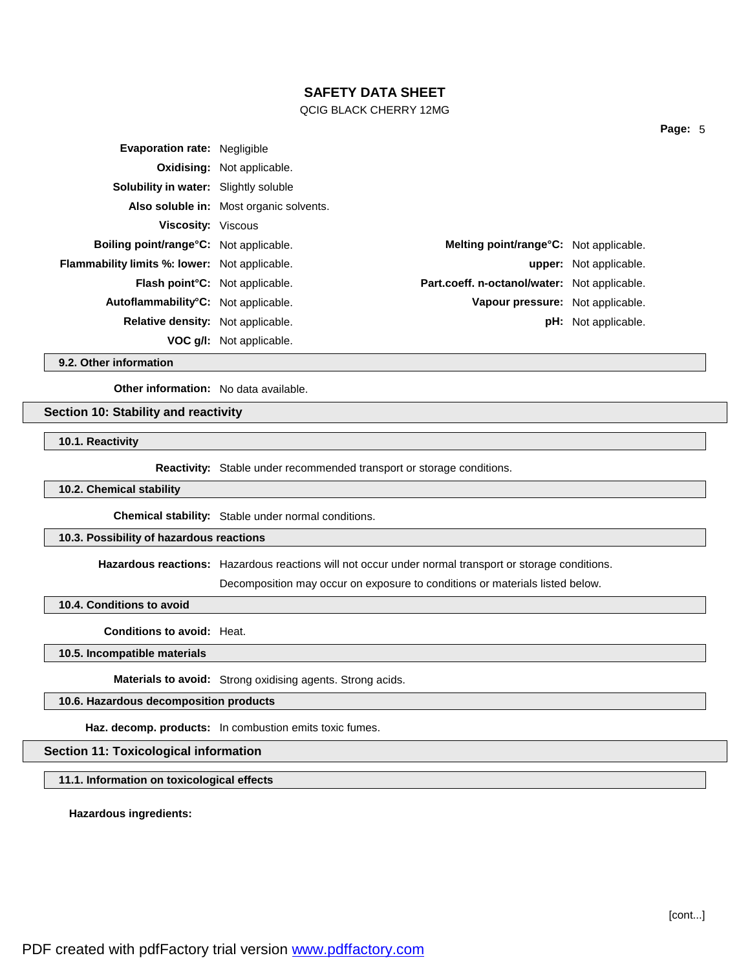#### QCIG BLACK CHERRY 12MG

| <b>Evaporation rate: Negligible</b>                  |                                         |                                                     |                               |
|------------------------------------------------------|-----------------------------------------|-----------------------------------------------------|-------------------------------|
|                                                      | <b>Oxidising: Not applicable.</b>       |                                                     |                               |
| <b>Solubility in water:</b> Slightly soluble         |                                         |                                                     |                               |
|                                                      | Also soluble in: Most organic solvents. |                                                     |                               |
| <b>Viscosity: Viscous</b>                            |                                         |                                                     |                               |
| <b>Boiling point/range C:</b> Not applicable.        |                                         | Melting point/range°C: Not applicable.              |                               |
| <b>Flammability limits %: lower:</b> Not applicable. |                                         |                                                     | <b>upper:</b> Not applicable. |
| <b>Flash point C:</b> Not applicable.                |                                         | <b>Part.coeff. n-octanol/water:</b> Not applicable. |                               |
| Autoflammability°C: Not applicable.                  |                                         | Vapour pressure: Not applicable.                    |                               |
| <b>Relative density:</b> Not applicable.             |                                         |                                                     | <b>pH:</b> Not applicable.    |
|                                                      | VOC g/I: Not applicable.                |                                                     |                               |

**9.2. Other information**

**Other information:** No data available.

### **Section 10: Stability and reactivity**

**10.1. Reactivity**

**Reactivity:** Stable under recommended transport or storage conditions.

#### **10.2. Chemical stability**

**Chemical stability:** Stable under normal conditions.

## **10.3. Possibility of hazardous reactions**

**Hazardous reactions:** Hazardous reactions will not occur under normal transport or storage conditions.

Decomposition may occur on exposure to conditions or materials listed below.

**10.4. Conditions to avoid**

**Conditions to avoid:** Heat.

**10.5. Incompatible materials**

**Materials to avoid:** Strong oxidising agents. Strong acids.

**10.6. Hazardous decomposition products**

**Haz. decomp. products:** In combustion emits toxic fumes.

#### **Section 11: Toxicological information**

**11.1. Information on toxicological effects**

**Hazardous ingredients:**

PDF created with pdfFactory trial version [www.pdffactory.com](http://www.pdffactory.com)

**Page:** 5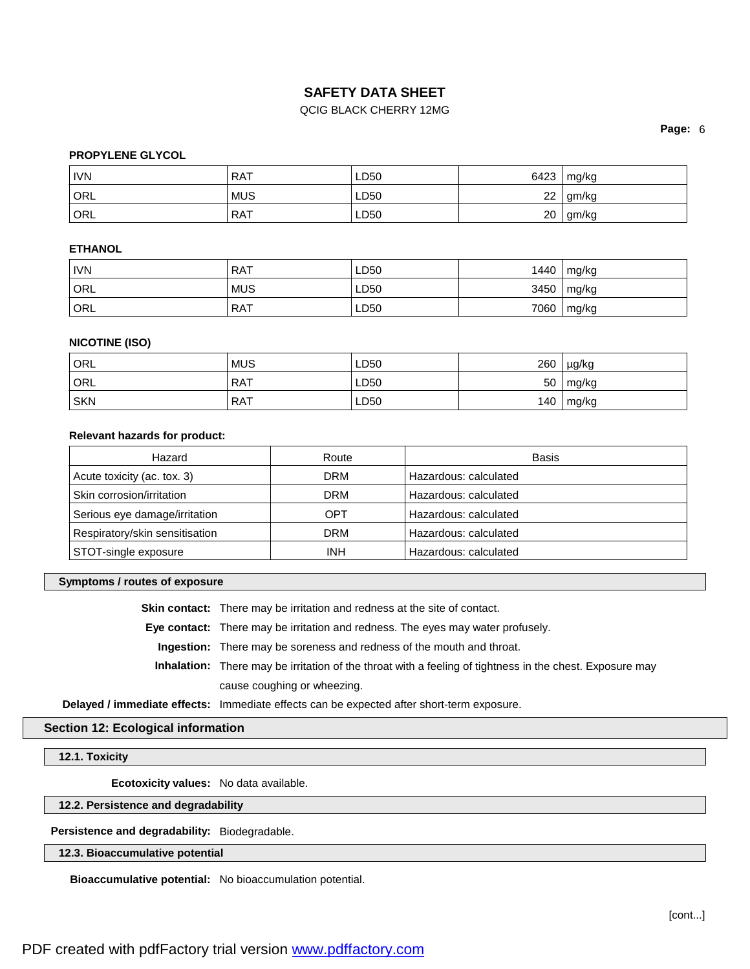### QCIG BLACK CHERRY 12MG

**Page:** 6

### **PROPYLENE GLYCOL**

| <b>IVN</b> | <b>RAT</b> | LD50 | 6423 | mg/kg |
|------------|------------|------|------|-------|
| ORL        | <b>MUS</b> | LD50 | 22   | gm/kg |
| ORL        | RAT        | LD50 | 20   | gm/kg |

### **ETHANOL**

| <b>IVN</b> | RAT        | LD50 | 1440 | mg/kg         |
|------------|------------|------|------|---------------|
| ORL        | <b>MUS</b> | LD50 | 3450 | $\vert$ mg/kg |
| ORL        | RAT        | LD50 | 7060 | mg/kg         |

### **NICOTINE (ISO)**

| ORL        | <b>MUS</b> | LD50 | 260 | µg/kg |
|------------|------------|------|-----|-------|
| ORL        | <b>RAT</b> | LD50 | 50  | mg/kg |
| <b>SKN</b> | <b>RAT</b> | LD50 | 140 | mg/kg |

#### **Relevant hazards for product:**

| Hazard                         | Route      | Basis                 |
|--------------------------------|------------|-----------------------|
| Acute toxicity (ac. tox. 3)    | <b>DRM</b> | Hazardous: calculated |
| Skin corrosion/irritation      | <b>DRM</b> | Hazardous: calculated |
| Serious eye damage/irritation  | OPT        | Hazardous: calculated |
| Respiratory/skin sensitisation | <b>DRM</b> | Hazardous: calculated |
| STOT-single exposure           | <b>INH</b> | Hazardous: calculated |

#### **Symptoms / routes of exposure**

**Skin contact:** There may be irritation and redness at the site of contact.

**Eye contact:** There may be irritation and redness. The eyes may water profusely.

**Ingestion:** There may be soreness and redness of the mouth and throat.

**Inhalation:** There may be irritation of the throat with a feeling of tightness in the chest. Exposure may cause coughing or wheezing.

**Delayed / immediate effects:** Immediate effects can be expected after short-term exposure.

### **Section 12: Ecological information**

**12.1. Toxicity**

**Ecotoxicity values:** No data available.

**12.2. Persistence and degradability**

**Persistence and degradability:** Biodegradable.

### **12.3. Bioaccumulative potential**

**Bioaccumulative potential:** No bioaccumulation potential.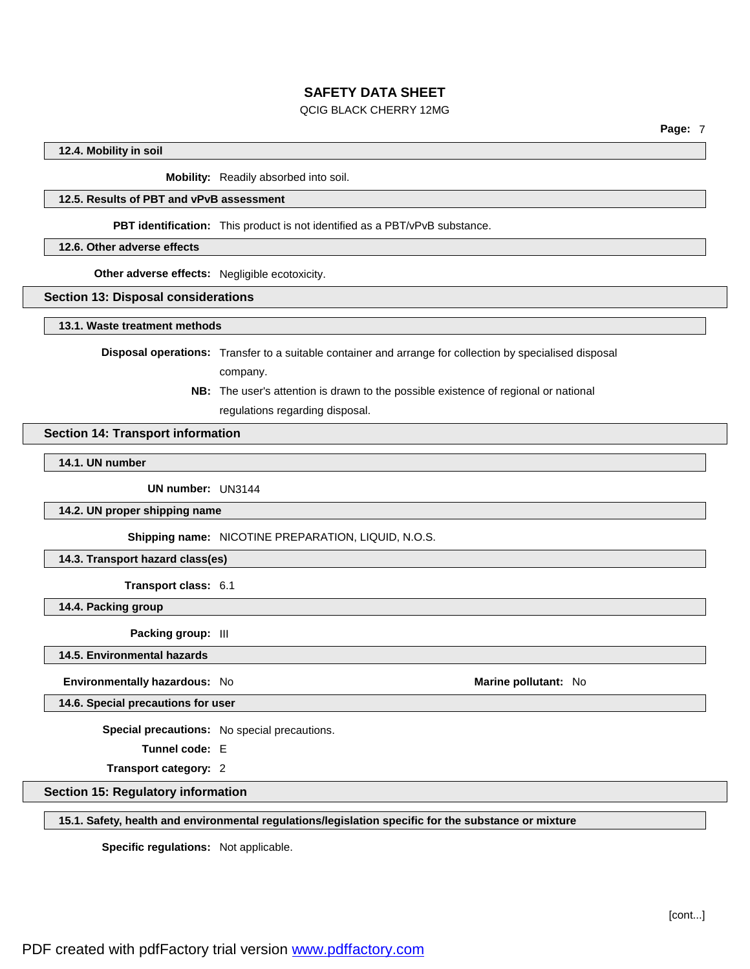### QCIG BLACK CHERRY 12MG

#### **12.4. Mobility in soil**

**Mobility:** Readily absorbed into soil.

### **12.5. Results of PBT and vPvB assessment**

**PBT identification:** This product is not identified as a PBT/vPvB substance.

#### **12.6. Other adverse effects**

**Other adverse effects:** Negligible ecotoxicity.

#### **Section 13: Disposal considerations**

**13.1. Waste treatment methods**

**Disposal operations:** Transfer to a suitable container and arrange for collection by specialised disposal

company.

**NB:** The user's attention is drawn to the possible existence of regional or national regulations regarding disposal.

#### **Section 14: Transport information**

**14.1. UN number**

**UN number:** UN3144

**14.2. UN proper shipping name**

**Shipping name:** NICOTINE PREPARATION, LIQUID, N.O.S.

**14.3. Transport hazard class(es)**

**Transport class:** 6.1

**14.4. Packing group**

**Packing group:** III

**14.5. Environmental hazards**

**Environmentally hazardous:** No **Marine Marine Marine** pollutant: No **Marine Marine** pollutant: No

**14.6. Special precautions for user**

**Special precautions:** No special precautions.

**Tunnel code:** E

**Transport category:** 2

**Section 15: Regulatory information**

**15.1. Safety, health and environmental regulations/legislation specific for the substance or mixture**

**Specific regulations:** Not applicable.